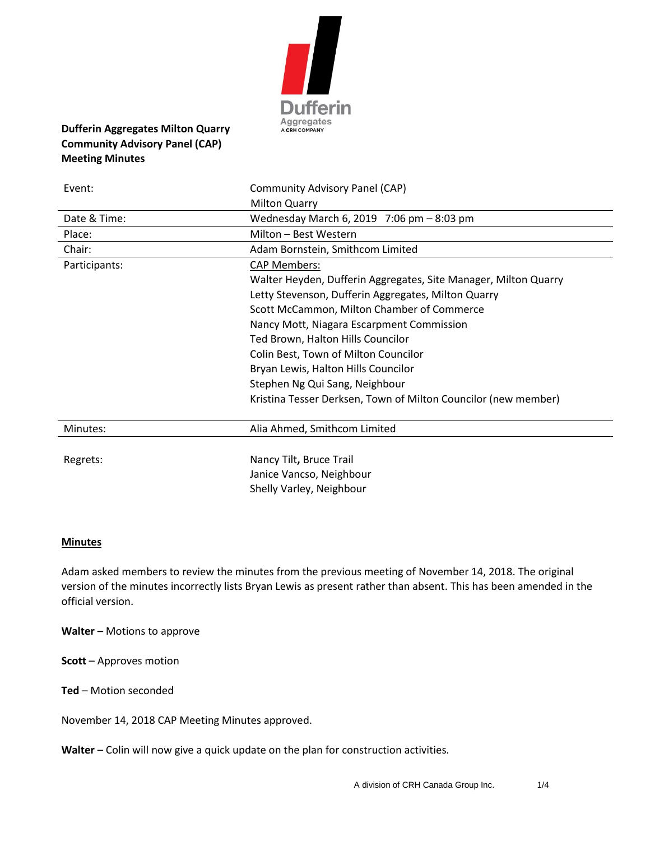

# **Dufferin Aggregates Milton Quarry Community Advisory Panel (CAP) Meeting Minutes**

| Event:        | Community Advisory Panel (CAP)                                  |
|---------------|-----------------------------------------------------------------|
|               | <b>Milton Quarry</b>                                            |
| Date & Time:  | Wednesday March 6, 2019 7:06 pm - 8:03 pm                       |
| Place:        | Milton - Best Western                                           |
| Chair:        | Adam Bornstein, Smithcom Limited                                |
| Participants: | <b>CAP Members:</b>                                             |
|               | Walter Heyden, Dufferin Aggregates, Site Manager, Milton Quarry |
|               | Letty Stevenson, Dufferin Aggregates, Milton Quarry             |
|               | Scott McCammon, Milton Chamber of Commerce                      |
|               | Nancy Mott, Niagara Escarpment Commission                       |
|               | Ted Brown, Halton Hills Councilor                               |
|               | Colin Best, Town of Milton Councilor                            |
|               | Bryan Lewis, Halton Hills Councilor                             |
|               | Stephen Ng Qui Sang, Neighbour                                  |
|               | Kristina Tesser Derksen, Town of Milton Councilor (new member)  |
| Minutes:      | Alia Ahmed, Smithcom Limited                                    |
|               |                                                                 |
| Regrets:      | Nancy Tilt, Bruce Trail                                         |
|               | Janice Vancso, Neighbour                                        |
|               | Shelly Varley, Neighbour                                        |

#### **Minutes**

Adam asked members to review the minutes from the previous meeting of November 14, 2018. The original version of the minutes incorrectly lists Bryan Lewis as present rather than absent. This has been amended in the official version.

**Walter –** Motions to approve

**Scott** – Approves motion

**Ted** – Motion seconded

November 14, 2018 CAP Meeting Minutes approved.

**Walter** – Colin will now give a quick update on the plan for construction activities.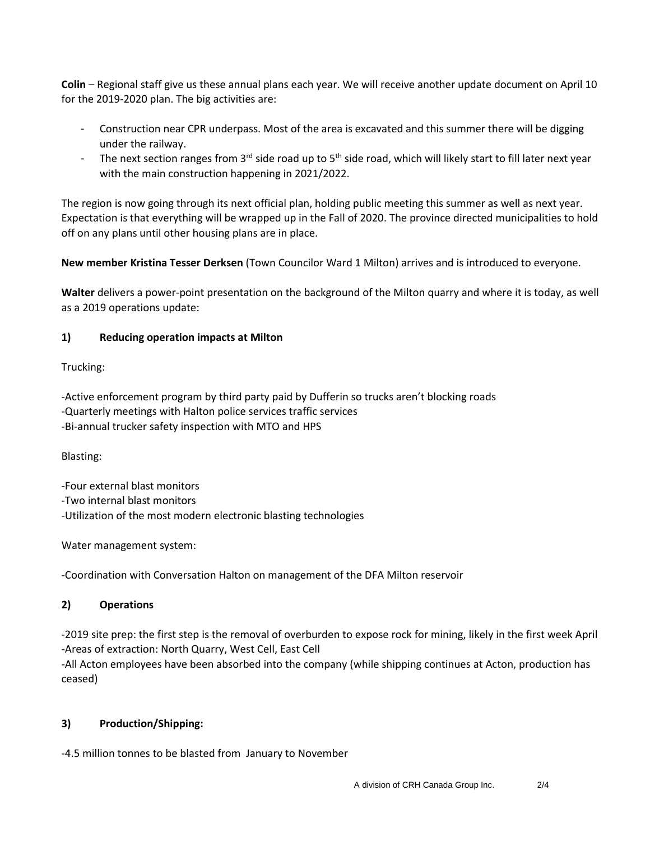**Colin** – Regional staff give us these annual plans each year. We will receive another update document on April 10 for the 2019-2020 plan. The big activities are:

- Construction near CPR underpass. Most of the area is excavated and this summer there will be digging under the railway.
- The next section ranges from 3<sup>rd</sup> side road up to 5<sup>th</sup> side road, which will likely start to fill later next year with the main construction happening in 2021/2022.

The region is now going through its next official plan, holding public meeting this summer as well as next year. Expectation is that everything will be wrapped up in the Fall of 2020. The province directed municipalities to hold off on any plans until other housing plans are in place.

**New member Kristina Tesser Derksen** (Town Councilor Ward 1 Milton) arrives and is introduced to everyone.

**Walter** delivers a power-point presentation on the background of the Milton quarry and where it is today, as well as a 2019 operations update:

#### **1) Reducing operation impacts at Milton**

Trucking:

-Active enforcement program by third party paid by Dufferin so trucks aren't blocking roads -Quarterly meetings with Halton police services traffic services -Bi-annual trucker safety inspection with MTO and HPS

Blasting:

-Four external blast monitors

-Two internal blast monitors

-Utilization of the most modern electronic blasting technologies

Water management system:

-Coordination with Conversation Halton on management of the DFA Milton reservoir

# **2) Operations**

-2019 site prep: the first step is the removal of overburden to expose rock for mining, likely in the first week April -Areas of extraction: North Quarry, West Cell, East Cell

-All Acton employees have been absorbed into the company (while shipping continues at Acton, production has ceased)

# **3) Production/Shipping:**

-4.5 million tonnes to be blasted from January to November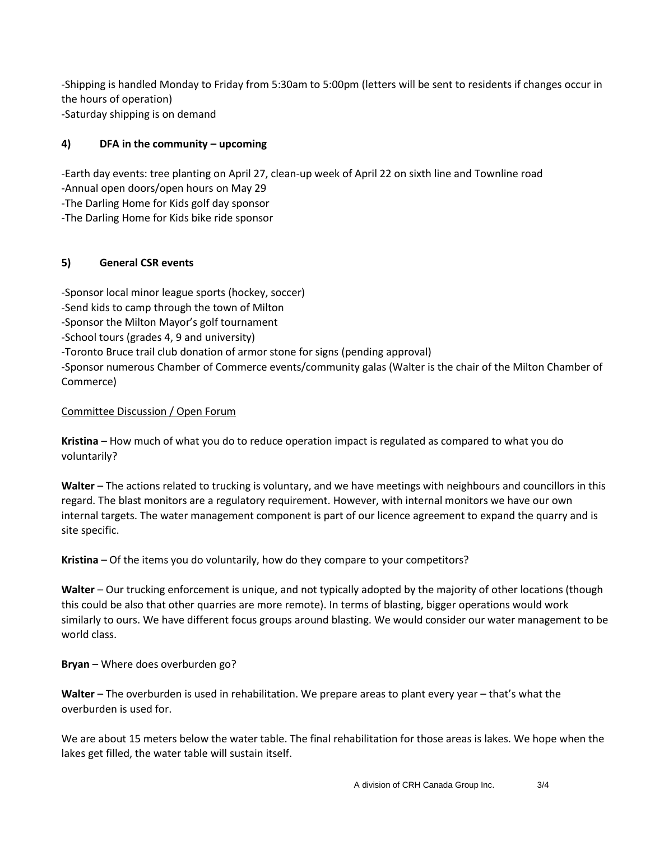-Shipping is handled Monday to Friday from 5:30am to 5:00pm (letters will be sent to residents if changes occur in the hours of operation) -Saturday shipping is on demand

# **4) DFA in the community – upcoming**

-Earth day events: tree planting on April 27, clean-up week of April 22 on sixth line and Townline road -Annual open doors/open hours on May 29

-The Darling Home for Kids golf day sponsor

-The Darling Home for Kids bike ride sponsor

#### **5) General CSR events**

-Sponsor local minor league sports (hockey, soccer) -Send kids to camp through the town of Milton -Sponsor the Milton Mayor's golf tournament -School tours (grades 4, 9 and university)

-Toronto Bruce trail club donation of armor stone for signs (pending approval)

-Sponsor numerous Chamber of Commerce events/community galas (Walter is the chair of the Milton Chamber of Commerce)

#### Committee Discussion / Open Forum

**Kristina** – How much of what you do to reduce operation impact is regulated as compared to what you do voluntarily?

**Walter** – The actions related to trucking is voluntary, and we have meetings with neighbours and councillors in this regard. The blast monitors are a regulatory requirement. However, with internal monitors we have our own internal targets. The water management component is part of our licence agreement to expand the quarry and is site specific.

**Kristina** – Of the items you do voluntarily, how do they compare to your competitors?

**Walter** – Our trucking enforcement is unique, and not typically adopted by the majority of other locations (though this could be also that other quarries are more remote). In terms of blasting, bigger operations would work similarly to ours. We have different focus groups around blasting. We would consider our water management to be world class.

**Bryan** – Where does overburden go?

**Walter** – The overburden is used in rehabilitation. We prepare areas to plant every year – that's what the overburden is used for.

We are about 15 meters below the water table. The final rehabilitation for those areas is lakes. We hope when the lakes get filled, the water table will sustain itself.